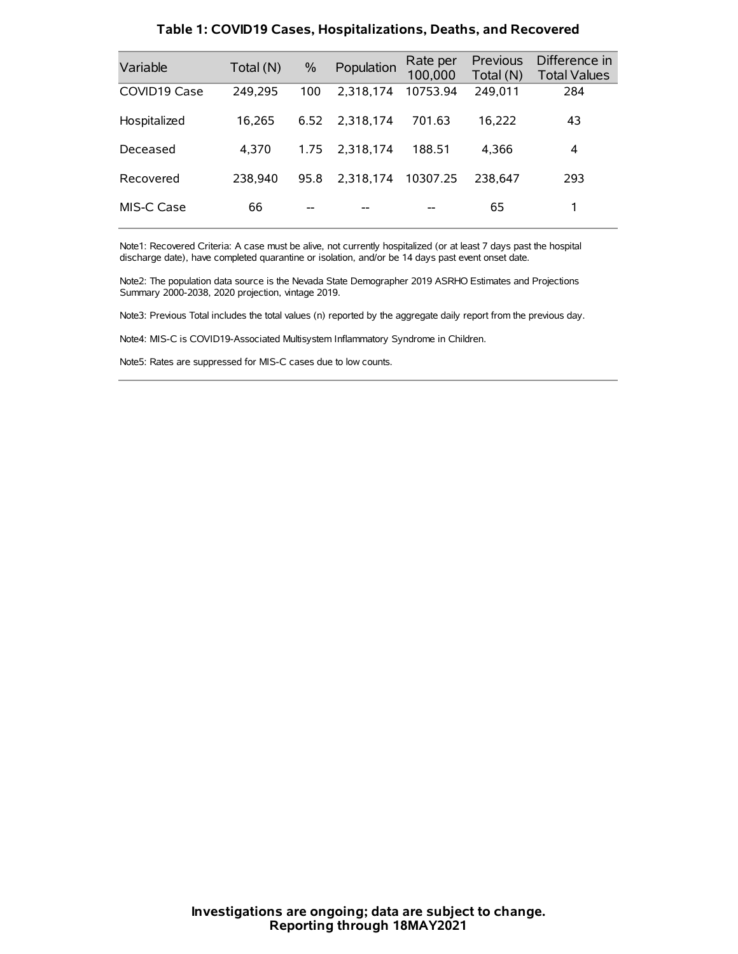| Variable     | Total (N) | $\%$ | Population | Rate per<br>100,000 | Previous<br>Total (N) | Difference in<br><b>Total Values</b> |
|--------------|-----------|------|------------|---------------------|-----------------------|--------------------------------------|
| COVID19 Case | 249,295   | 100  | 2.318.174  | 10753.94            | 249,011               | 284                                  |
| Hospitalized | 16.265    | 6.52 | 2.318.174  | 701.63              | 16.222                | 43                                   |
| Deceased     | 4.370     | 1.75 | 2.318.174  | 188.51              | 4.366                 | 4                                    |
| Recovered    | 238.940   | 95.8 | 2,318,174  | 10307.25            | 238.647               | 293                                  |
| MIS-C Case   | 66        | --   |            |                     | 65                    |                                      |

#### **Table 1: COVID19 Cases, Hospitalizations, Deaths, and Recovered**

Note1: Recovered Criteria: A case must be alive, not currently hospitalized (or at least 7 days past the hospital discharge date), have completed quarantine or isolation, and/or be 14 days past event onset date.

Note2: The population data source is the Nevada State Demographer 2019 ASRHO Estimates and Projections Summary 2000-2038, 2020 projection, vintage 2019.

Note3: Previous Total includes the total values (n) reported by the aggregate daily report from the previous day.

Note4: MIS-C is COVID19-Associated Multisystem Inflammatory Syndrome in Children.

Note5: Rates are suppressed for MIS-C cases due to low counts.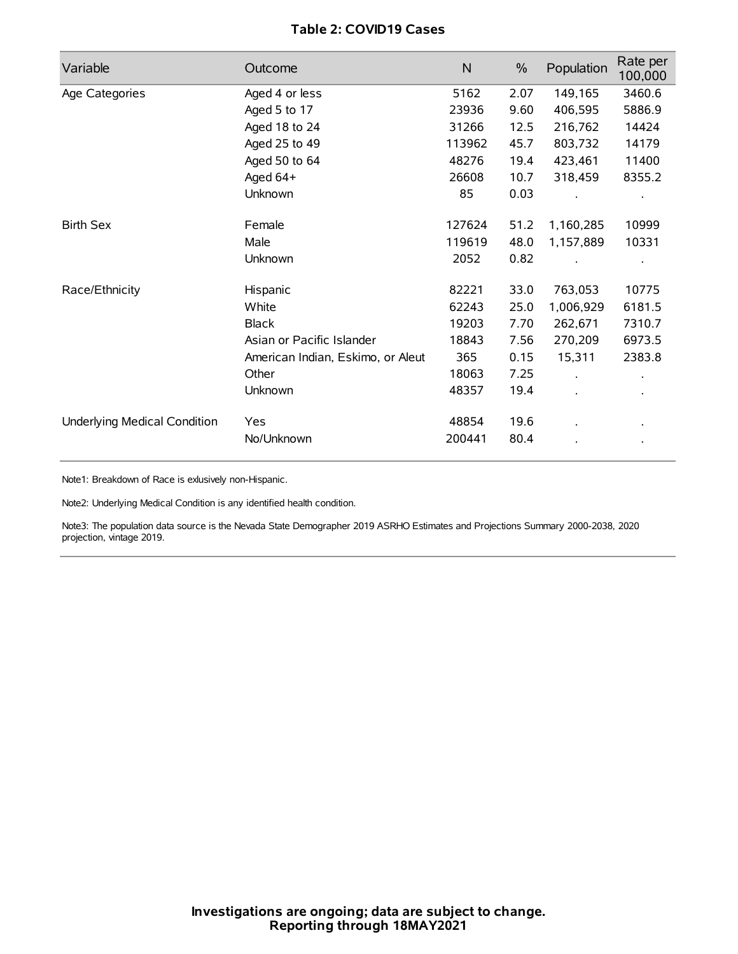# **Table 2: COVID19 Cases**

| Variable                     | Outcome                           | N      | $\%$ | Population | Rate per<br>100,000 |
|------------------------------|-----------------------------------|--------|------|------------|---------------------|
| Age Categories               | Aged 4 or less                    | 5162   | 2.07 | 149,165    | 3460.6              |
|                              | Aged 5 to 17                      | 23936  | 9.60 | 406,595    | 5886.9              |
|                              | Aged 18 to 24                     | 31266  | 12.5 | 216,762    | 14424               |
|                              | Aged 25 to 49                     | 113962 | 45.7 | 803,732    | 14179               |
|                              | Aged 50 to 64                     | 48276  | 19.4 | 423,461    | 11400               |
|                              | Aged $64+$                        | 26608  | 10.7 | 318,459    | 8355.2              |
|                              | Unknown                           | 85     | 0.03 |            |                     |
| <b>Birth Sex</b>             | Female                            | 127624 | 51.2 | 1,160,285  | 10999               |
|                              | Male                              | 119619 | 48.0 | 1,157,889  | 10331               |
|                              | Unknown                           | 2052   | 0.82 |            |                     |
| Race/Ethnicity               | Hispanic                          | 82221  | 33.0 | 763,053    | 10775               |
|                              | White                             | 62243  | 25.0 | 1,006,929  | 6181.5              |
|                              | <b>Black</b>                      | 19203  | 7.70 | 262,671    | 7310.7              |
|                              | Asian or Pacific Islander         | 18843  | 7.56 | 270,209    | 6973.5              |
|                              | American Indian, Eskimo, or Aleut | 365    | 0.15 | 15,311     | 2383.8              |
|                              | Other                             | 18063  | 7.25 |            |                     |
|                              | Unknown                           | 48357  | 19.4 |            |                     |
| Underlying Medical Condition | <b>Yes</b>                        | 48854  | 19.6 |            |                     |
|                              | No/Unknown                        | 200441 | 80.4 |            |                     |

Note1: Breakdown of Race is exlusively non-Hispanic.

Note2: Underlying Medical Condition is any identified health condition.

Note3: The population data source is the Nevada State Demographer 2019 ASRHO Estimates and Projections Summary 2000-2038, 2020 projection, vintage 2019.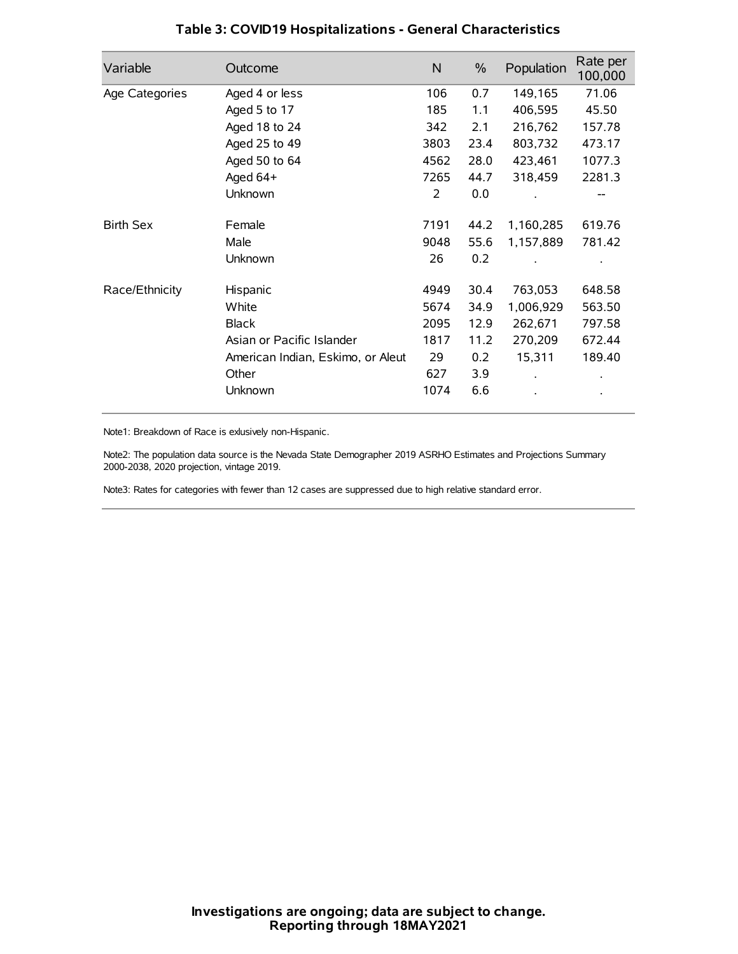| Variable         | Outcome                           | $\mathsf{N}$ | $\%$ | Population | Rate per<br>100,000 |
|------------------|-----------------------------------|--------------|------|------------|---------------------|
| Age Categories   | Aged 4 or less                    | 106          | 0.7  | 149,165    | 71.06               |
|                  | Aged 5 to 17                      | 185          | 1.1  | 406,595    | 45.50               |
|                  | Aged 18 to 24                     | 342          | 2.1  | 216,762    | 157.78              |
|                  | Aged 25 to 49                     | 3803         | 23.4 | 803,732    | 473.17              |
|                  | Aged 50 to 64                     | 4562         | 28.0 | 423,461    | 1077.3              |
|                  | Aged 64+                          | 7265         | 44.7 | 318,459    | 2281.3              |
|                  | Unknown                           | 2            | 0.0  |            | --                  |
| <b>Birth Sex</b> | Female                            | 7191         | 44.2 | 1,160,285  | 619.76              |
|                  | Male                              | 9048         | 55.6 | 1,157,889  | 781.42              |
|                  | Unknown                           | 26           | 0.2  |            |                     |
| Race/Ethnicity   | Hispanic                          | 4949         | 30.4 | 763,053    | 648.58              |
|                  | White                             | 5674         | 34.9 | 1,006,929  | 563.50              |
|                  | <b>Black</b>                      | 2095         | 12.9 | 262,671    | 797.58              |
|                  | Asian or Pacific Islander         | 1817         | 11.2 | 270,209    | 672.44              |
|                  | American Indian, Eskimo, or Aleut | 29           | 0.2  | 15,311     | 189.40              |
|                  | Other                             | 627          | 3.9  |            |                     |
|                  | Unknown                           | 1074         | 6.6  |            |                     |

# **Table 3: COVID19 Hospitalizations - General Characteristics**

Note1: Breakdown of Race is exlusively non-Hispanic.

Note2: The population data source is the Nevada State Demographer 2019 ASRHO Estimates and Projections Summary 2000-2038, 2020 projection, vintage 2019.

Note3: Rates for categories with fewer than 12 cases are suppressed due to high relative standard error.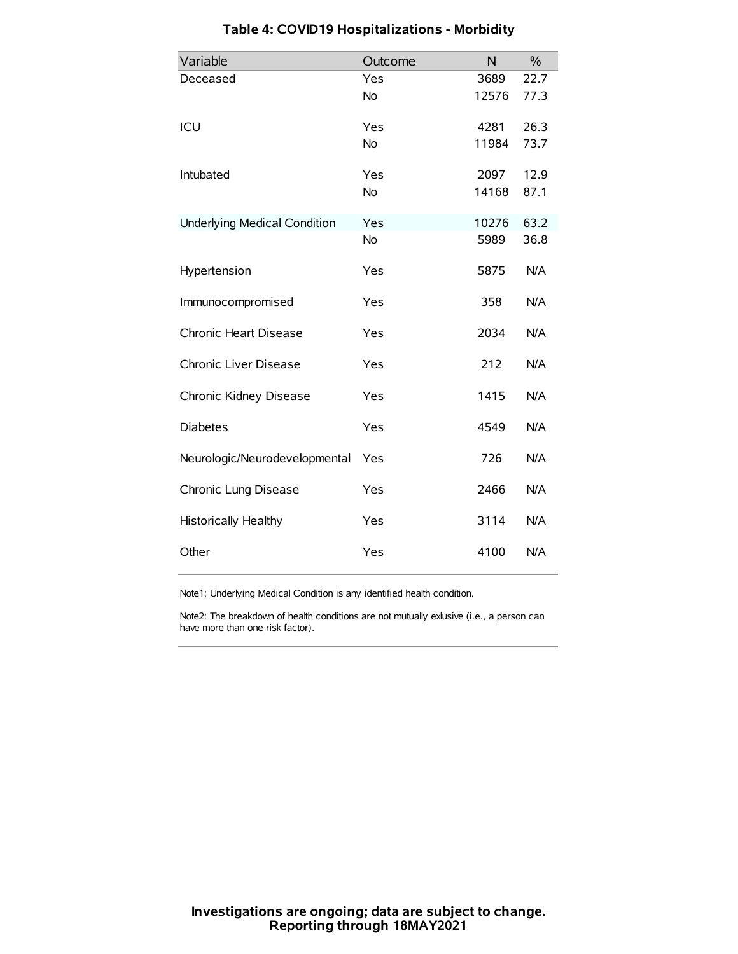| Variable                            | Outcome   | N     | $\%$ |
|-------------------------------------|-----------|-------|------|
| Deceased                            | Yes       | 3689  | 22.7 |
|                                     | No        | 12576 | 77.3 |
| ICU                                 | Yes       | 4281  | 26.3 |
|                                     | <b>No</b> | 11984 | 73.7 |
| Intubated                           | Yes       | 2097  | 12.9 |
|                                     | No        | 14168 | 87.1 |
| <b>Underlying Medical Condition</b> | Yes       | 10276 | 63.2 |
|                                     | No        | 5989  | 36.8 |
| Hypertension                        | Yes       | 5875  | N/A  |
| Immunocompromised                   | Yes       | 358   | N/A  |
| Chronic Heart Disease               | Yes       | 2034  | N/A  |
| Chronic Liver Disease               | Yes       | 212   | N/A  |
| Chronic Kidney Disease              | Yes       | 1415  | N/A  |
| <b>Diabetes</b>                     | Yes       | 4549  | N/A  |
| Neurologic/Neurodevelopmental       | Yes       | 726   | N/A  |
| Chronic Lung Disease                | Yes       | 2466  | N/A  |
| <b>Historically Healthy</b>         | Yes       | 3114  | N/A  |
| Other                               | Yes       | 4100  | N/A  |

# **Table 4: COVID19 Hospitalizations - Morbidity**

Note1: Underlying Medical Condition is any identified health condition.

Note2: The breakdown of health conditions are not mutually exlusive (i.e., a person can have more than one risk factor).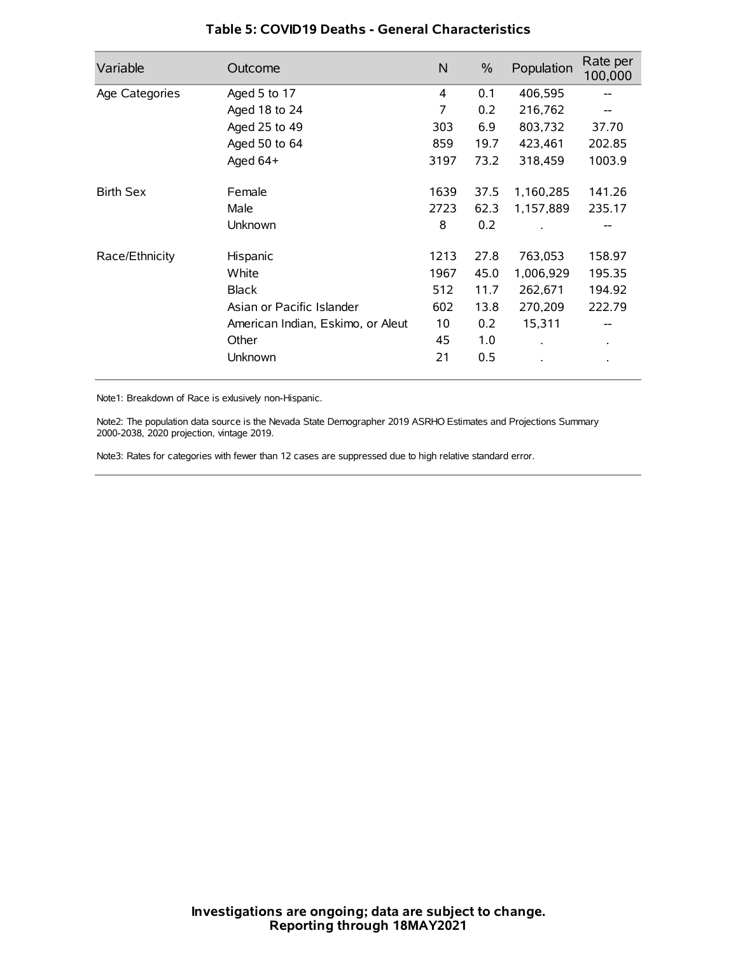| Variable         | Outcome                           | $\mathsf{N}$ | $\%$ | Population           | Rate per<br>100,000 |
|------------------|-----------------------------------|--------------|------|----------------------|---------------------|
| Age Categories   | Aged 5 to 17                      | 4            | 0.1  | 406,595              | --                  |
|                  | Aged 18 to 24                     | 7            | 0.2  | 216,762              |                     |
|                  | Aged 25 to 49                     | 303          | 6.9  | 803,732              | 37.70               |
|                  | Aged 50 to 64                     | 859          | 19.7 | 423,461              | 202.85              |
|                  | Aged 64+                          | 3197         | 73.2 | 318,459              | 1003.9              |
| <b>Birth Sex</b> | Female                            | 1639         | 37.5 | 1,160,285            | 141.26              |
|                  | Male                              | 2723         | 62.3 | 1,157,889            | 235.17              |
|                  | Unknown                           | 8            | 0.2  |                      |                     |
| Race/Ethnicity   | Hispanic                          | 1213         | 27.8 | 763,053              | 158.97              |
|                  | White                             | 1967         | 45.0 | 1,006,929            | 195.35              |
|                  | <b>Black</b>                      | 512          | 11.7 | 262,671              | 194.92              |
|                  | Asian or Pacific Islander         | 602          | 13.8 | 270,209              | 222.79              |
|                  | American Indian, Eskimo, or Aleut | 10           | 0.2  | 15,311               |                     |
|                  | Other                             | 45           | 1.0  | $\ddot{\phantom{0}}$ | $\bullet$           |
|                  | Unknown                           | 21           | 0.5  |                      |                     |

## **Table 5: COVID19 Deaths - General Characteristics**

Note1: Breakdown of Race is exlusively non-Hispanic.

Note2: The population data source is the Nevada State Demographer 2019 ASRHO Estimates and Projections Summary 2000-2038, 2020 projection, vintage 2019.

Note3: Rates for categories with fewer than 12 cases are suppressed due to high relative standard error.